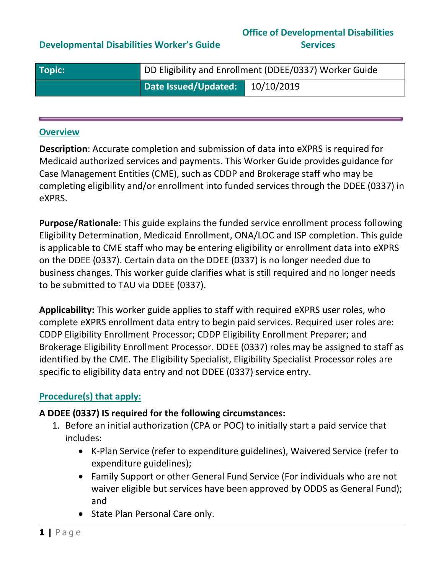## **Developmental Disabilities Worker's Guide**

#### **Office of Developmental Disabilities Services**

| $\sqrt{ }$ Topic: | DD Eligibility and Enrollment (DDEE/0337) Worker Guide |            |  |
|-------------------|--------------------------------------------------------|------------|--|
|                   | Date Issued/Updated:                                   | 10/10/2019 |  |

#### **Overview**

**Description**: Accurate completion and submission of data into eXPRS is required for Medicaid authorized services and payments. This Worker Guide provides guidance for Case Management Entities (CME), such as CDDP and Brokerage staff who may be completing eligibility and/or enrollment into funded services through the DDEE (0337) in eXPRS.

**Purpose/Rationale**: This guide explains the funded service enrollment process following Eligibility Determination, Medicaid Enrollment, ONA/LOC and ISP completion. This guide is applicable to CME staff who may be entering eligibility or enrollment data into eXPRS on the DDEE (0337). Certain data on the DDEE (0337) is no longer needed due to business changes. This worker guide clarifies what is still required and no longer needs to be submitted to TAU via DDEE (0337).

**Applicability:** This worker guide applies to staff with required eXPRS user roles, who complete eXPRS enrollment data entry to begin paid services. Required user roles are: CDDP Eligibility Enrollment Processor; CDDP Eligibility Enrollment Preparer; and Brokerage Eligibility Enrollment Processor. DDEE (0337) roles may be assigned to staff as identified by the CME. The Eligibility Specialist, Eligibility Specialist Processor roles are specific to eligibility data entry and not DDEE (0337) service entry.

## **Procedure(s) that apply:**

#### **A DDEE (0337) IS required for the following circumstances:**

- 1. Before an initial authorization (CPA or POC) to initially start a paid service that includes:
	- K-Plan Service (refer to expenditure guidelines), Waivered Service (refer to expenditure guidelines);
	- Family Support or other General Fund Service (For individuals who are not waiver eligible but services have been approved by ODDS as General Fund); and
	- State Plan Personal Care only.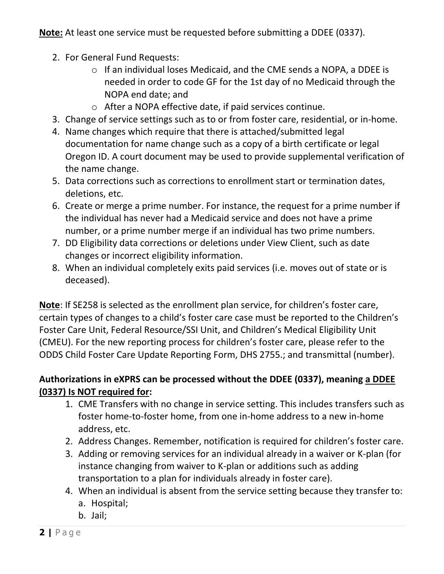**Note:** At least one service must be requested before submitting a DDEE (0337).

- 2. For General Fund Requests:
	- o If an individual loses Medicaid, and the CME sends a NOPA, a DDEE is needed in order to code GF for the 1st day of no Medicaid through the NOPA end date; and
	- o After a NOPA effective date, if paid services continue.
- 3. Change of service settings such as to or from foster care, residential, or in-home.
- 4. Name changes which require that there is attached/submitted legal documentation for name change such as a copy of a birth certificate or legal Oregon ID. A court document may be used to provide supplemental verification of the name change.
- 5. Data corrections such as corrections to enrollment start or termination dates, deletions, etc.
- 6. Create or merge a prime number. For instance, the request for a prime number if the individual has never had a Medicaid service and does not have a prime number, or a prime number merge if an individual has two prime numbers.
- 7. DD Eligibility data corrections or deletions under View Client, such as date changes or incorrect eligibility information.
- 8. When an individual completely exits paid services (i.e. moves out of state or is deceased).

**Note**: If SE258 is selected as the enrollment plan service, for children's foster care, certain types of changes to a child's foster care case must be reported to the Children's Foster Care Unit, Federal Resource/SSI Unit, and Children's Medical Eligibility Unit (CMEU). For the new reporting process for children's foster care, please refer to the ODDS Child Foster Care Update Reporting Form, DHS 2755.; and transmittal (number).

# **Authorizations in eXPRS can be processed without the DDEE (0337), meaning a DDEE (0337) Is NOT required for:**

- 1. CME Transfers with no change in service setting. This includes transfers such as foster home-to-foster home, from one in-home address to a new in-home address, etc.
- 2. Address Changes. Remember, notification is required for children's foster care.
- 3. Adding or removing services for an individual already in a waiver or K-plan (for instance changing from waiver to K-plan or additions such as adding transportation to a plan for individuals already in foster care).
- 4. When an individual is absent from the service setting because they transfer to:
	- a. Hospital;
	- b. Jail;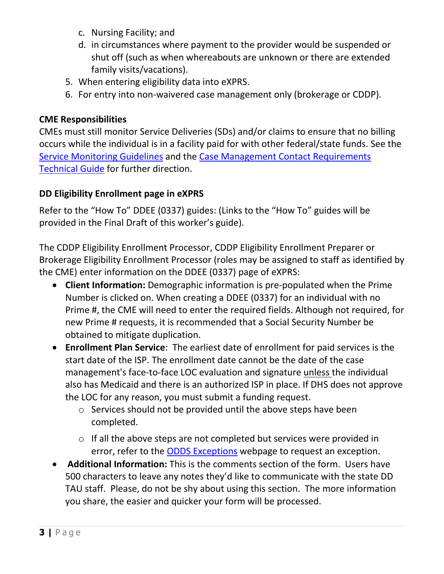- c. Nursing Facility; and
- d. in circumstances where payment to the provider would be suspended or shut off (such as when whereabouts are unknown or there are extended family visits/vacations).
- 5. When entering eligibility data into eXPRS.
- 6. For entry into non-waivered case management only (brokerage or CDDP).

## **CME Responsibilities**

CMEs must still monitor Service Deliveries (SDs) and/or claims to ensure that no billing occurs while the individual is in a facility paid for with other federal/state funds. See the [Service Monitoring Guidelines](http://www.dhs.state.or.us/spd/tools/dd/cm/Service%20Monitoring%20Guidelines%20v2012.pdf) and the [Case Management Contact Requirements](http://www.dhs.state.or.us/spd/tools/dd/cm/Case-Management-Contact-Requirements-Technical-Guide.pdf)  [Technical Guide](http://www.dhs.state.or.us/spd/tools/dd/cm/Case-Management-Contact-Requirements-Technical-Guide.pdf) for further direction.

## **DD Eligibility Enrollment page in eXPRS**

Refer to the "How To" DDEE (0337) guides: (Links to the "How To" guides will be provided in the Final Draft of this worker's guide).

The CDDP Eligibility Enrollment Processor, CDDP Eligibility Enrollment Preparer or Brokerage Eligibility Enrollment Processor (roles may be assigned to staff as identified by the CME) enter information on the DDEE (0337) page of eXPRS:

- **Client Information:** Demographic information is pre-populated when the Prime Number is clicked on. When creating a DDEE (0337) for an individual with no Prime #, the CME will need to enter the required fields. Although not required, for new Prime # requests, it is recommended that a Social Security Number be obtained to mitigate duplication.
- **Enrollment Plan Service**: The earliest date of enrollment for paid services is the start date of the ISP. The enrollment date cannot be the date of the case management's face-to-face LOC evaluation and signature unless the individual also has Medicaid and there is an authorized ISP in place. If DHS does not approve the LOC for any reason, you must submit a funding request.
	- o Services should not be provided until the above steps have been completed.
	- o If all the above steps are not completed but services were provided in error, refer to the [ODDS Exceptions](https://www.oregon.gov/DHS/SENIORS-DISABILITIES/DD/Pages/Exception-Step1.aspx) webpage to request an exception.
- **Additional Information:** This is the comments section of the form. Users have 500 characters to leave any notes they'd like to communicate with the state DD TAU staff. Please, do not be shy about using this section. The more information you share, the easier and quicker your form will be processed.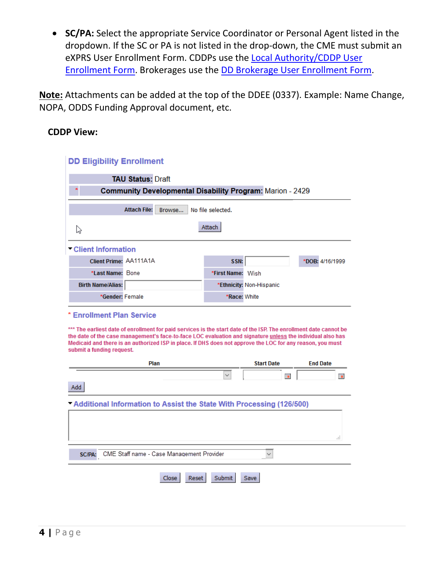• **SC/PA:** Select the appropriate Service Coordinator or Personal Agent listed in the dropdown. If the SC or PA is not listed in the drop-down, the CME must submit an eXPRS User Enrollment Form. CDDPs use the [Local Authority/CDDP User](https://apps.state.or.us/exprsDocs/EnrollLocalAuthUser.pdf)  [Enrollment Form.](https://apps.state.or.us/exprsDocs/EnrollLocalAuthUser.pdf) Brokerages use the [DD Brokerage User Enrollment Form.](https://apps.state.or.us/exprsDocs/EnrollBrokerageUser.pdf)

**Note:** Attachments can be added at the top of the DDEE (0337). Example: Name Change, NOPA, ODDS Funding Approval document, etc.

#### **CDDP View:**

| <b>DD Eligibility Enrollment</b>                                 |                          |  |  |  |  |
|------------------------------------------------------------------|--------------------------|--|--|--|--|
| <b>TAU Status: Draft</b>                                         |                          |  |  |  |  |
| <b>Community Developmental Disability Program: Marion - 2429</b> |                          |  |  |  |  |
| <b>Attach File:</b><br>Browse                                    | No file selected.        |  |  |  |  |
| hì                                                               | Attach                   |  |  |  |  |
| Client Information                                               |                          |  |  |  |  |
| Client Prime: AA111A1A                                           | SSN:<br>*DOB: 4/16/1999  |  |  |  |  |
| *Last Name: Bone                                                 | *First Name:<br>Wish     |  |  |  |  |
| <b>Birth Name/Alias:</b>                                         | *Ethnicity: Non-Hispanic |  |  |  |  |
| *Gender: Female                                                  | *Race: White             |  |  |  |  |

#### \* Enrollment Plan Service

\*\*\* The earliest date of enrollment for paid services is the start date of the ISP. The enrollment date cannot be the date of the case management's face-to-face LOC evaluation and signature unless the individual also has Medicaid and there is an authorized ISP in place. If DHS does not approve the LOC for any reason, you must submit a funding request.

| 賱 | 賱                                                                     |
|---|-----------------------------------------------------------------------|
|   |                                                                       |
|   |                                                                       |
|   |                                                                       |
|   |                                                                       |
|   |                                                                       |
|   | m                                                                     |
|   |                                                                       |
|   |                                                                       |
|   | "Additional Information to Assist the State With Processing (126/500) |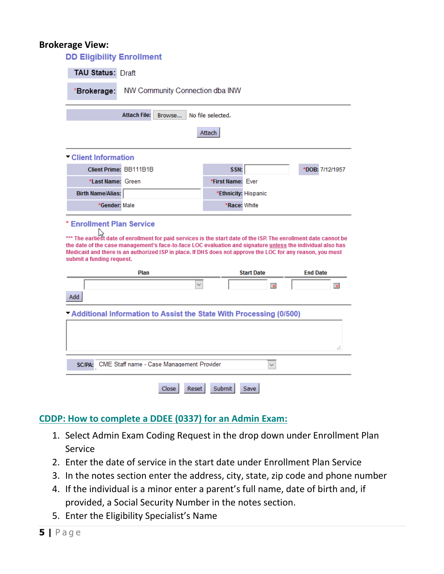#### **Brokerage View:**

| <b>DD Eligibility Enrollment</b>               |                                                                                                                                                                                                                                                                                                                                               |                      |                   |                 |  |
|------------------------------------------------|-----------------------------------------------------------------------------------------------------------------------------------------------------------------------------------------------------------------------------------------------------------------------------------------------------------------------------------------------|----------------------|-------------------|-----------------|--|
| <b>TAU Status: Draft</b>                       |                                                                                                                                                                                                                                                                                                                                               |                      |                   |                 |  |
| NW Community Connection dba INW<br>*Brokerage: |                                                                                                                                                                                                                                                                                                                                               |                      |                   |                 |  |
|                                                | <b>Attach File:</b><br>Browse                                                                                                                                                                                                                                                                                                                 | No file selected.    |                   |                 |  |
|                                                |                                                                                                                                                                                                                                                                                                                                               | Attach               |                   |                 |  |
| Client Information                             |                                                                                                                                                                                                                                                                                                                                               |                      |                   |                 |  |
| Client Prime: BB111B1B                         |                                                                                                                                                                                                                                                                                                                                               | SSN:                 |                   | *DOB: 7/12/1957 |  |
| *Last Name: Green                              |                                                                                                                                                                                                                                                                                                                                               | *First Name: Ever    |                   |                 |  |
| <b>Birth Name/Alias:</b>                       |                                                                                                                                                                                                                                                                                                                                               | *Ethnicity: Hispanic |                   |                 |  |
| *Gender: Male                                  |                                                                                                                                                                                                                                                                                                                                               |                      |                   |                 |  |
| * Enrollment Plan Service                      |                                                                                                                                                                                                                                                                                                                                               | *Race: White         |                   |                 |  |
| submit a funding request.                      | *** The earliest date of enrollment for paid services is the start date of the ISP. The enrollment date cannot be<br>the date of the case management's face-to-face LOC evaluation and signature unless the individual also has<br>Medicaid and there is an authorized ISP in place. If DHS does not approve the LOC for any reason, you must |                      |                   |                 |  |
|                                                | Plan                                                                                                                                                                                                                                                                                                                                          |                      | <b>Start Date</b> | <b>End Date</b> |  |
| Add                                            |                                                                                                                                                                                                                                                                                                                                               |                      | <b>Fax</b>        | 屇               |  |
|                                                | "Additional Information to Assist the State With Processing (0/500)                                                                                                                                                                                                                                                                           |                      |                   | Æ               |  |
|                                                | SC/PA: CME Staff name - Case Management Provider                                                                                                                                                                                                                                                                                              |                      | $\checkmark$      |                 |  |

## **CDDP: How to complete a DDEE (0337) for an Admin Exam:**

- 1. Select Admin Exam Coding Request in the drop down under Enrollment Plan Service
- 2. Enter the date of service in the start date under Enrollment Plan Service
- 3. In the notes section enter the address, city, state, zip code and phone number
- 4. If the individual is a minor enter a parent's full name, date of birth and, if provided, a Social Security Number in the notes section.
- 5. Enter the Eligibility Specialist's Name